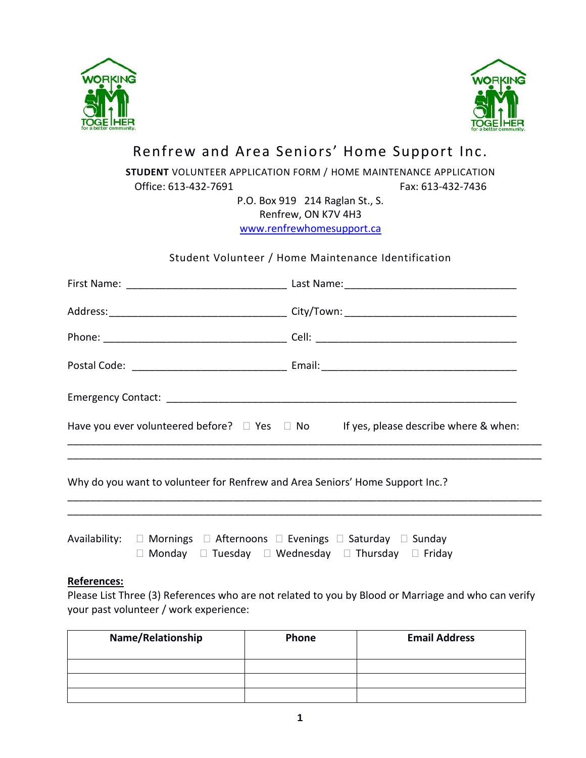



# Renfrew and Area Seniors' Home Support Inc.

## **STUDENT** VOLUNTEER APPLICATION FORM / HOME MAINTENANCE APPLICATION

Office: 613-432-7691 Fax: 613-432-7436

P.O. Box 919 214 Raglan St., S. Renfrew, ON K7V 4H3

[www.renfrewhomesupport.ca](http://www.renfrewhomesupport.ca/)

## Student Volunteer / Home Maintenance Identification

| Have you ever volunteered before? $\Box$ Yes $\Box$ No If yes, please describe where & when: |  |  |  |
|----------------------------------------------------------------------------------------------|--|--|--|
|                                                                                              |  |  |  |

Why do you want to volunteer for Renfrew and Area Seniors' Home Support Inc.?

|  | Availability: □ Mornings □ Afternoons □ Evenings □ Saturday □ Sunday        |  |
|--|-----------------------------------------------------------------------------|--|
|  | $\Box$ Monday $\Box$ Tuesday $\Box$ Wednesday $\Box$ Thursday $\Box$ Friday |  |

### **References:**

Please List Three (3) References who are not related to you by Blood or Marriage and who can verify your past volunteer / work experience:

\_\_\_\_\_\_\_\_\_\_\_\_\_\_\_\_\_\_\_\_\_\_\_\_\_\_\_\_\_\_\_\_\_\_\_\_\_\_\_\_\_\_\_\_\_\_\_\_\_\_\_\_\_\_\_\_\_\_\_\_\_\_\_\_\_\_\_\_\_\_\_\_\_\_\_\_\_\_\_\_\_\_\_ \_\_\_\_\_\_\_\_\_\_\_\_\_\_\_\_\_\_\_\_\_\_\_\_\_\_\_\_\_\_\_\_\_\_\_\_\_\_\_\_\_\_\_\_\_\_\_\_\_\_\_\_\_\_\_\_\_\_\_\_\_\_\_\_\_\_\_\_\_\_\_\_\_\_\_\_\_\_\_\_\_\_\_

| Name/Relationship | Phone |  |
|-------------------|-------|--|
|                   |       |  |
|                   |       |  |
|                   |       |  |